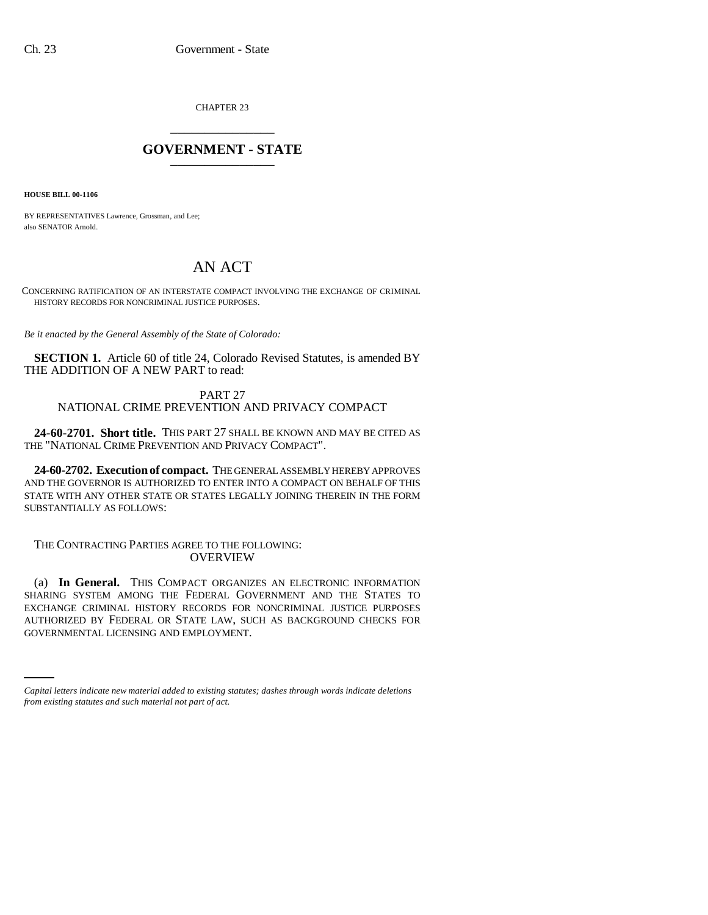CHAPTER 23 \_\_\_\_\_\_\_\_\_\_\_\_\_\_\_

## **GOVERNMENT - STATE** \_\_\_\_\_\_\_\_\_\_\_\_\_\_\_

**HOUSE BILL 00-1106** 

BY REPRESENTATIVES Lawrence, Grossman, and Lee; also SENATOR Arnold.

# AN ACT

CONCERNING RATIFICATION OF AN INTERSTATE COMPACT INVOLVING THE EXCHANGE OF CRIMINAL HISTORY RECORDS FOR NONCRIMINAL JUSTICE PURPOSES.

*Be it enacted by the General Assembly of the State of Colorado:*

**SECTION 1.** Article 60 of title 24, Colorado Revised Statutes, is amended BY THE ADDITION OF A NEW PART to read:

PART 27

## NATIONAL CRIME PREVENTION AND PRIVACY COMPACT

**24-60-2701. Short title.** THIS PART 27 SHALL BE KNOWN AND MAY BE CITED AS THE "NATIONAL CRIME PREVENTION AND PRIVACY COMPACT".

**24-60-2702. Execution of compact.** THE GENERAL ASSEMBLY HEREBY APPROVES AND THE GOVERNOR IS AUTHORIZED TO ENTER INTO A COMPACT ON BEHALF OF THIS STATE WITH ANY OTHER STATE OR STATES LEGALLY JOINING THEREIN IN THE FORM SUBSTANTIALLY AS FOLLOWS:

#### THE CONTRACTING PARTIES AGREE TO THE FOLLOWING: OVERVIEW

AUTHORIZED BY FEDERAL OR STATE LAW, SUCH AS BACKGROUND CHECKS FOR (a) **In General.** THIS COMPACT ORGANIZES AN ELECTRONIC INFORMATION SHARING SYSTEM AMONG THE FEDERAL GOVERNMENT AND THE STATES TO EXCHANGE CRIMINAL HISTORY RECORDS FOR NONCRIMINAL JUSTICE PURPOSES GOVERNMENTAL LICENSING AND EMPLOYMENT.

*Capital letters indicate new material added to existing statutes; dashes through words indicate deletions from existing statutes and such material not part of act.*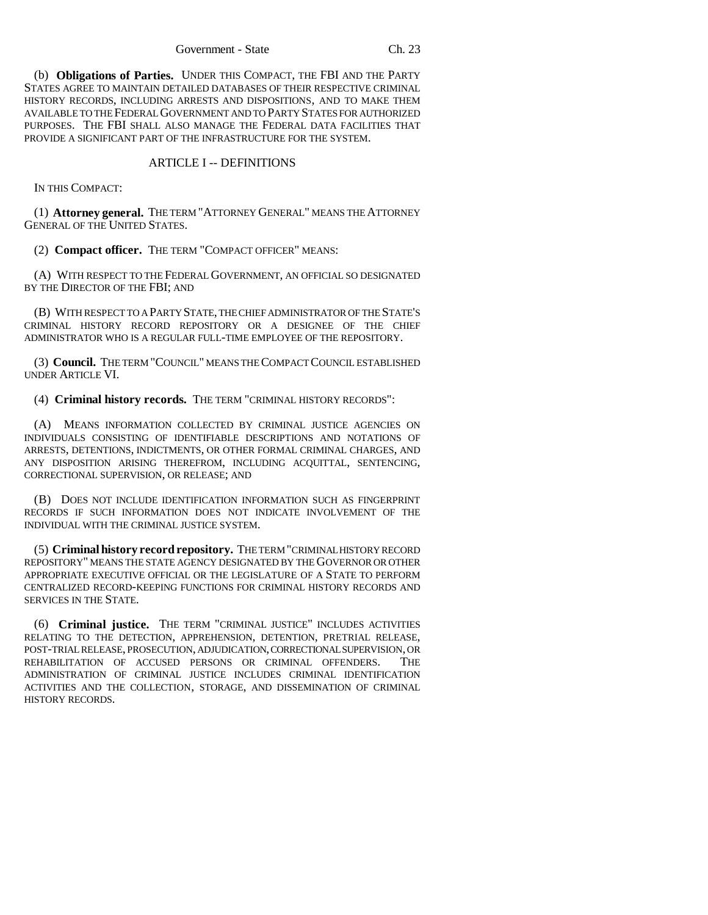Government - State Ch. 23

(b) **Obligations of Parties.** UNDER THIS COMPACT, THE FBI AND THE PARTY STATES AGREE TO MAINTAIN DETAILED DATABASES OF THEIR RESPECTIVE CRIMINAL HISTORY RECORDS, INCLUDING ARRESTS AND DISPOSITIONS, AND TO MAKE THEM AVAILABLE TO THE FEDERAL GOVERNMENT AND TO PARTY STATES FOR AUTHORIZED PURPOSES. THE FBI SHALL ALSO MANAGE THE FEDERAL DATA FACILITIES THAT PROVIDE A SIGNIFICANT PART OF THE INFRASTRUCTURE FOR THE SYSTEM.

## ARTICLE I -- DEFINITIONS

IN THIS COMPACT:

(1) **Attorney general.** THE TERM "ATTORNEY GENERAL" MEANS THE ATTORNEY GENERAL OF THE UNITED STATES.

(2) **Compact officer.** THE TERM "COMPACT OFFICER" MEANS:

(A) WITH RESPECT TO THE FEDERAL GOVERNMENT, AN OFFICIAL SO DESIGNATED BY THE DIRECTOR OF THE FBI: AND

(B) WITH RESPECT TO A PARTY STATE, THE CHIEF ADMINISTRATOR OF THE STATE'S CRIMINAL HISTORY RECORD REPOSITORY OR A DESIGNEE OF THE CHIEF ADMINISTRATOR WHO IS A REGULAR FULL-TIME EMPLOYEE OF THE REPOSITORY.

(3) **Council.** THE TERM "COUNCIL" MEANS THE COMPACT COUNCIL ESTABLISHED UNDER ARTICLE VI.

(4) **Criminal history records.** THE TERM "CRIMINAL HISTORY RECORDS":

(A) MEANS INFORMATION COLLECTED BY CRIMINAL JUSTICE AGENCIES ON INDIVIDUALS CONSISTING OF IDENTIFIABLE DESCRIPTIONS AND NOTATIONS OF ARRESTS, DETENTIONS, INDICTMENTS, OR OTHER FORMAL CRIMINAL CHARGES, AND ANY DISPOSITION ARISING THEREFROM, INCLUDING ACQUITTAL, SENTENCING, CORRECTIONAL SUPERVISION, OR RELEASE; AND

(B) DOES NOT INCLUDE IDENTIFICATION INFORMATION SUCH AS FINGERPRINT RECORDS IF SUCH INFORMATION DOES NOT INDICATE INVOLVEMENT OF THE INDIVIDUAL WITH THE CRIMINAL JUSTICE SYSTEM.

(5) **Criminal history record repository.** THE TERM "CRIMINAL HISTORY RECORD REPOSITORY" MEANS THE STATE AGENCY DESIGNATED BY THE GOVERNOR OR OTHER APPROPRIATE EXECUTIVE OFFICIAL OR THE LEGISLATURE OF A STATE TO PERFORM CENTRALIZED RECORD-KEEPING FUNCTIONS FOR CRIMINAL HISTORY RECORDS AND SERVICES IN THE STATE.

(6) **Criminal justice.** THE TERM "CRIMINAL JUSTICE" INCLUDES ACTIVITIES RELATING TO THE DETECTION, APPREHENSION, DETENTION, PRETRIAL RELEASE, POST-TRIAL RELEASE, PROSECUTION, ADJUDICATION, CORRECTIONAL SUPERVISION, OR REHABILITATION OF ACCUSED PERSONS OR CRIMINAL OFFENDERS. THE ADMINISTRATION OF CRIMINAL JUSTICE INCLUDES CRIMINAL IDENTIFICATION ACTIVITIES AND THE COLLECTION, STORAGE, AND DISSEMINATION OF CRIMINAL HISTORY RECORDS.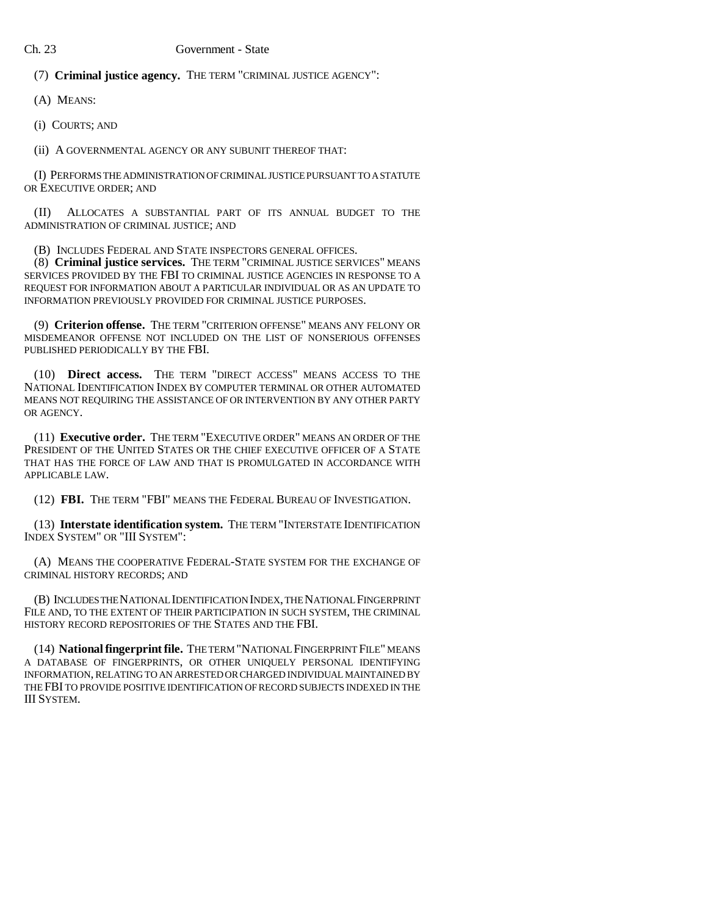#### Ch. 23 Government - State

## (7) **Criminal justice agency.** THE TERM "CRIMINAL JUSTICE AGENCY":

(A) MEANS:

(i) COURTS; AND

(ii) A GOVERNMENTAL AGENCY OR ANY SUBUNIT THEREOF THAT:

(I) PERFORMS THE ADMINISTRATION OF CRIMINAL JUSTICE PURSUANT TO A STATUTE OR EXECUTIVE ORDER; AND

(II) ALLOCATES A SUBSTANTIAL PART OF ITS ANNUAL BUDGET TO THE ADMINISTRATION OF CRIMINAL JUSTICE; AND

(B) INCLUDES FEDERAL AND STATE INSPECTORS GENERAL OFFICES.

(8) **Criminal justice services.** THE TERM "CRIMINAL JUSTICE SERVICES" MEANS SERVICES PROVIDED BY THE FBI TO CRIMINAL JUSTICE AGENCIES IN RESPONSE TO A REQUEST FOR INFORMATION ABOUT A PARTICULAR INDIVIDUAL OR AS AN UPDATE TO INFORMATION PREVIOUSLY PROVIDED FOR CRIMINAL JUSTICE PURPOSES.

(9) **Criterion offense.** THE TERM "CRITERION OFFENSE" MEANS ANY FELONY OR MISDEMEANOR OFFENSE NOT INCLUDED ON THE LIST OF NONSERIOUS OFFENSES PUBLISHED PERIODICALLY BY THE FBI.

(10) **Direct access.** THE TERM "DIRECT ACCESS" MEANS ACCESS TO THE NATIONAL IDENTIFICATION INDEX BY COMPUTER TERMINAL OR OTHER AUTOMATED MEANS NOT REQUIRING THE ASSISTANCE OF OR INTERVENTION BY ANY OTHER PARTY OR AGENCY.

(11) **Executive order.** THE TERM "EXECUTIVE ORDER" MEANS AN ORDER OF THE PRESIDENT OF THE UNITED STATES OR THE CHIEF EXECUTIVE OFFICER OF A STATE THAT HAS THE FORCE OF LAW AND THAT IS PROMULGATED IN ACCORDANCE WITH APPLICABLE LAW.

(12) **FBI.** THE TERM "FBI" MEANS THE FEDERAL BUREAU OF INVESTIGATION.

(13) **Interstate identification system.** THE TERM "INTERSTATE IDENTIFICATION INDEX SYSTEM" OR "III SYSTEM":

(A) MEANS THE COOPERATIVE FEDERAL-STATE SYSTEM FOR THE EXCHANGE OF CRIMINAL HISTORY RECORDS; AND

(B) INCLUDES THE NATIONAL IDENTIFICATION INDEX, THE NATIONAL FINGERPRINT FILE AND, TO THE EXTENT OF THEIR PARTICIPATION IN SUCH SYSTEM, THE CRIMINAL HISTORY RECORD REPOSITORIES OF THE STATES AND THE FBI.

(14) **National fingerprint file.** THE TERM "NATIONAL FINGERPRINT FILE" MEANS A DATABASE OF FINGERPRINTS, OR OTHER UNIQUELY PERSONAL IDENTIFYING INFORMATION, RELATING TO AN ARRESTED OR CHARGED INDIVIDUAL MAINTAINED BY THE FBI TO PROVIDE POSITIVE IDENTIFICATION OF RECORD SUBJECTS INDEXED IN THE III SYSTEM.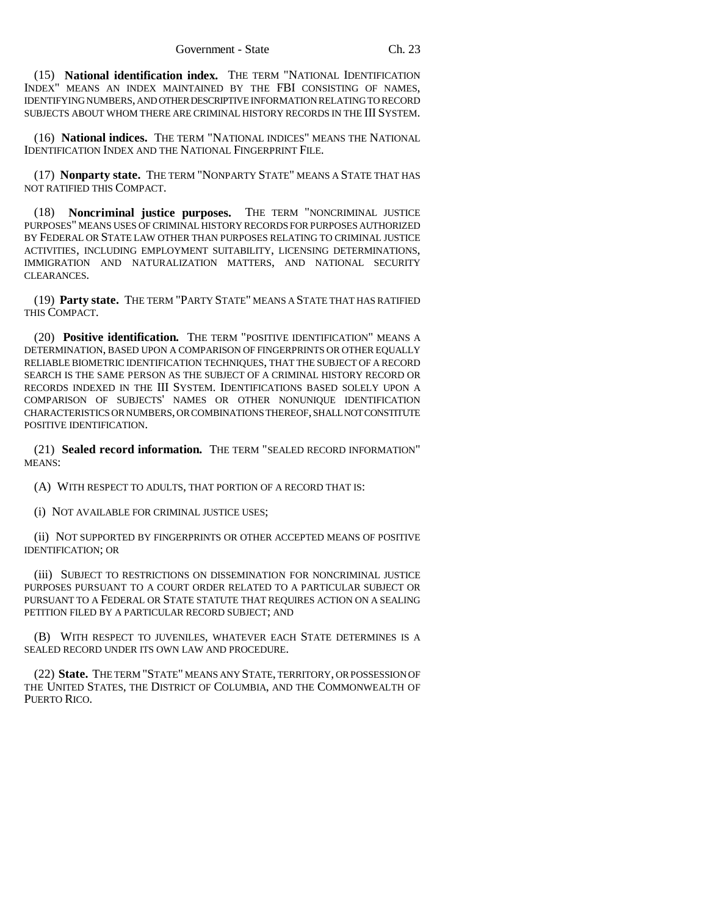(15) **National identification index.** THE TERM "NATIONAL IDENTIFICATION INDEX" MEANS AN INDEX MAINTAINED BY THE FBI CONSISTING OF NAMES, IDENTIFYING NUMBERS, AND OTHER DESCRIPTIVE INFORMATION RELATING TO RECORD SUBJECTS ABOUT WHOM THERE ARE CRIMINAL HISTORY RECORDS IN THE III SYSTEM.

(16) **National indices.** THE TERM "NATIONAL INDICES" MEANS THE NATIONAL IDENTIFICATION INDEX AND THE NATIONAL FINGERPRINT FILE.

(17) **Nonparty state.** THE TERM "NONPARTY STATE" MEANS A STATE THAT HAS NOT RATIFIED THIS COMPACT.

(18) **Noncriminal justice purposes.** THE TERM "NONCRIMINAL JUSTICE PURPOSES" MEANS USES OF CRIMINAL HISTORY RECORDS FOR PURPOSES AUTHORIZED BY FEDERAL OR STATE LAW OTHER THAN PURPOSES RELATING TO CRIMINAL JUSTICE ACTIVITIES, INCLUDING EMPLOYMENT SUITABILITY, LICENSING DETERMINATIONS, IMMIGRATION AND NATURALIZATION MATTERS, AND NATIONAL SECURITY CLEARANCES.

(19) **Party state.** THE TERM "PARTY STATE" MEANS A STATE THAT HAS RATIFIED THIS COMPACT.

(20) **Positive identification.** THE TERM "POSITIVE IDENTIFICATION" MEANS A DETERMINATION, BASED UPON A COMPARISON OF FINGERPRINTS OR OTHER EQUALLY RELIABLE BIOMETRIC IDENTIFICATION TECHNIQUES, THAT THE SUBJECT OF A RECORD SEARCH IS THE SAME PERSON AS THE SUBJECT OF A CRIMINAL HISTORY RECORD OR RECORDS INDEXED IN THE III SYSTEM. IDENTIFICATIONS BASED SOLELY UPON A COMPARISON OF SUBJECTS' NAMES OR OTHER NONUNIQUE IDENTIFICATION CHARACTERISTICS OR NUMBERS, OR COMBINATIONS THEREOF, SHALL NOT CONSTITUTE POSITIVE IDENTIFICATION.

(21) **Sealed record information.** THE TERM "SEALED RECORD INFORMATION" MEANS:

(A) WITH RESPECT TO ADULTS, THAT PORTION OF A RECORD THAT IS:

(i) NOT AVAILABLE FOR CRIMINAL JUSTICE USES;

(ii) NOT SUPPORTED BY FINGERPRINTS OR OTHER ACCEPTED MEANS OF POSITIVE IDENTIFICATION; OR

(iii) SUBJECT TO RESTRICTIONS ON DISSEMINATION FOR NONCRIMINAL JUSTICE PURPOSES PURSUANT TO A COURT ORDER RELATED TO A PARTICULAR SUBJECT OR PURSUANT TO A FEDERAL OR STATE STATUTE THAT REQUIRES ACTION ON A SEALING PETITION FILED BY A PARTICULAR RECORD SUBJECT; AND

(B) WITH RESPECT TO JUVENILES, WHATEVER EACH STATE DETERMINES IS A SEALED RECORD UNDER ITS OWN LAW AND PROCEDURE.

(22) **State.** THE TERM "STATE" MEANS ANY STATE, TERRITORY, OR POSSESSION OF THE UNITED STATES, THE DISTRICT OF COLUMBIA, AND THE COMMONWEALTH OF PUERTO RICO.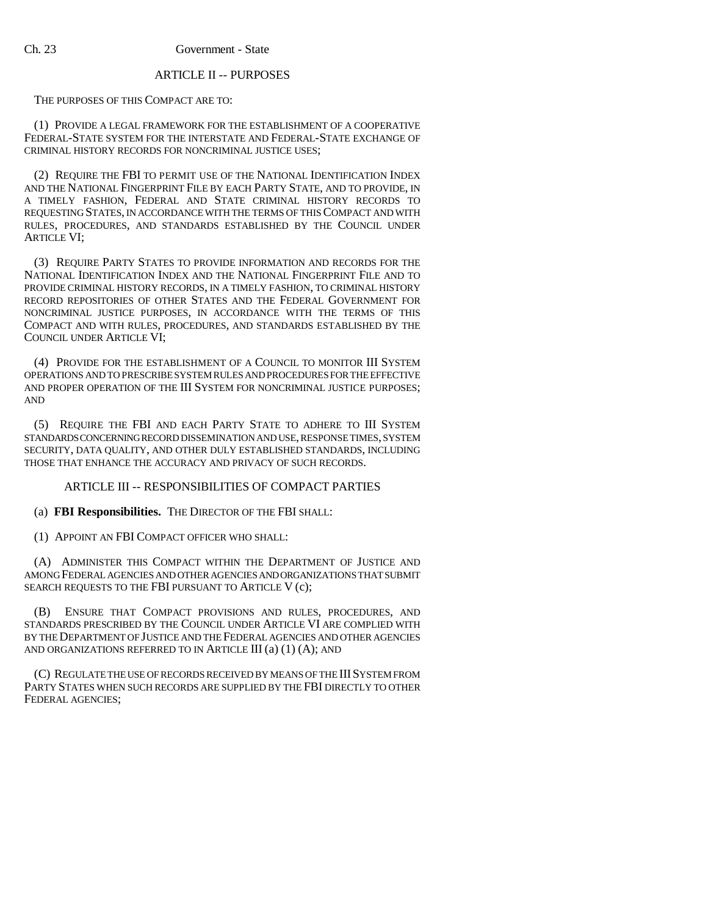Ch. 23 Government - State

#### ARTICLE II -- PURPOSES

THE PURPOSES OF THIS COMPACT ARE TO:

(1) PROVIDE A LEGAL FRAMEWORK FOR THE ESTABLISHMENT OF A COOPERATIVE FEDERAL-STATE SYSTEM FOR THE INTERSTATE AND FEDERAL-STATE EXCHANGE OF CRIMINAL HISTORY RECORDS FOR NONCRIMINAL JUSTICE USES;

(2) REQUIRE THE FBI TO PERMIT USE OF THE NATIONAL IDENTIFICATION INDEX AND THE NATIONAL FINGERPRINT FILE BY EACH PARTY STATE, AND TO PROVIDE, IN A TIMELY FASHION, FEDERAL AND STATE CRIMINAL HISTORY RECORDS TO REQUESTING STATES, IN ACCORDANCE WITH THE TERMS OF THIS COMPACT AND WITH RULES, PROCEDURES, AND STANDARDS ESTABLISHED BY THE COUNCIL UNDER ARTICLE VI;

(3) REQUIRE PARTY STATES TO PROVIDE INFORMATION AND RECORDS FOR THE NATIONAL IDENTIFICATION INDEX AND THE NATIONAL FINGERPRINT FILE AND TO PROVIDE CRIMINAL HISTORY RECORDS, IN A TIMELY FASHION, TO CRIMINAL HISTORY RECORD REPOSITORIES OF OTHER STATES AND THE FEDERAL GOVERNMENT FOR NONCRIMINAL JUSTICE PURPOSES, IN ACCORDANCE WITH THE TERMS OF THIS COMPACT AND WITH RULES, PROCEDURES, AND STANDARDS ESTABLISHED BY THE COUNCIL UNDER ARTICLE VI;

(4) PROVIDE FOR THE ESTABLISHMENT OF A COUNCIL TO MONITOR III SYSTEM OPERATIONS AND TO PRESCRIBE SYSTEM RULES AND PROCEDURES FOR THE EFFECTIVE AND PROPER OPERATION OF THE III SYSTEM FOR NONCRIMINAL JUSTICE PURPOSES; AND

(5) REQUIRE THE FBI AND EACH PARTY STATE TO ADHERE TO III SYSTEM STANDARDS CONCERNING RECORD DISSEMINATION AND USE, RESPONSE TIMES, SYSTEM SECURITY, DATA QUALITY, AND OTHER DULY ESTABLISHED STANDARDS, INCLUDING THOSE THAT ENHANCE THE ACCURACY AND PRIVACY OF SUCH RECORDS.

## ARTICLE III -- RESPONSIBILITIES OF COMPACT PARTIES

(a) **FBI Responsibilities.** THE DIRECTOR OF THE FBI SHALL:

(1) APPOINT AN FBI COMPACT OFFICER WHO SHALL:

(A) ADMINISTER THIS COMPACT WITHIN THE DEPARTMENT OF JUSTICE AND AMONG FEDERAL AGENCIES AND OTHER AGENCIES AND ORGANIZATIONS THAT SUBMIT SEARCH REQUESTS TO THE FBI PURSUANT TO ARTICLE V (c);

(B) ENSURE THAT COMPACT PROVISIONS AND RULES, PROCEDURES, AND STANDARDS PRESCRIBED BY THE COUNCIL UNDER ARTICLE VI ARE COMPLIED WITH BY THE DEPARTMENT OF JUSTICE AND THE FEDERAL AGENCIES AND OTHER AGENCIES AND ORGANIZATIONS REFERRED TO IN ARTICLE III (a)  $(1)$  (A); AND

(C) REGULATE THE USE OF RECORDS RECEIVED BY MEANS OF THE IIISYSTEM FROM PARTY STATES WHEN SUCH RECORDS ARE SUPPLIED BY THE FBI DIRECTLY TO OTHER FEDERAL AGENCIES;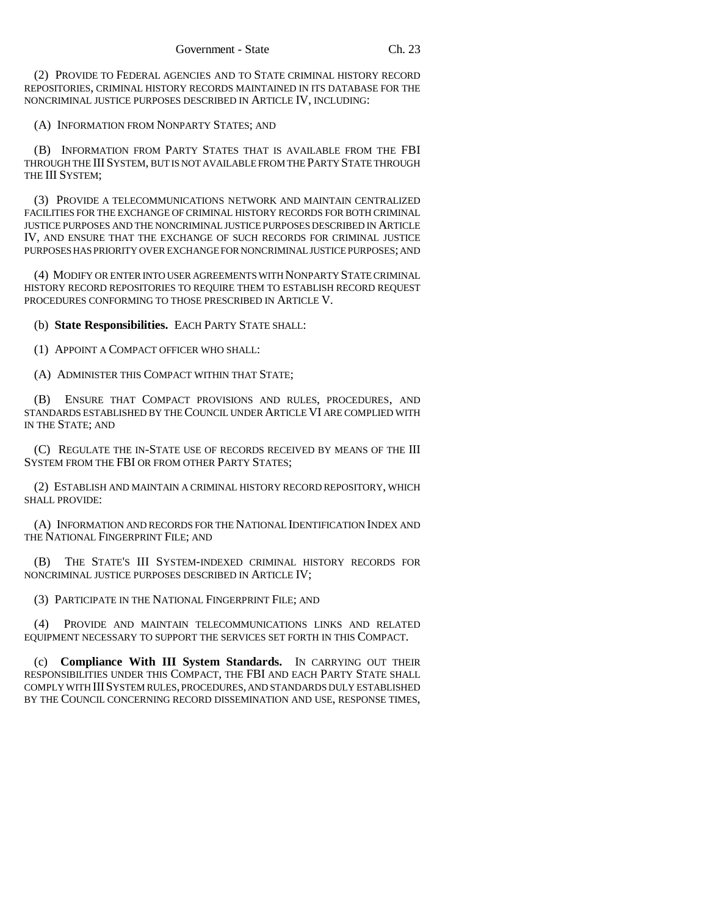(2) PROVIDE TO FEDERAL AGENCIES AND TO STATE CRIMINAL HISTORY RECORD REPOSITORIES, CRIMINAL HISTORY RECORDS MAINTAINED IN ITS DATABASE FOR THE NONCRIMINAL JUSTICE PURPOSES DESCRIBED IN ARTICLE IV, INCLUDING:

(A) INFORMATION FROM NONPARTY STATES; AND

(B) INFORMATION FROM PARTY STATES THAT IS AVAILABLE FROM THE FBI THROUGH THE III SYSTEM, BUT IS NOT AVAILABLE FROM THE PARTY STATE THROUGH THE III SYSTEM;

(3) PROVIDE A TELECOMMUNICATIONS NETWORK AND MAINTAIN CENTRALIZED FACILITIES FOR THE EXCHANGE OF CRIMINAL HISTORY RECORDS FOR BOTH CRIMINAL JUSTICE PURPOSES AND THE NONCRIMINAL JUSTICE PURPOSES DESCRIBED IN ARTICLE IV, AND ENSURE THAT THE EXCHANGE OF SUCH RECORDS FOR CRIMINAL JUSTICE PURPOSES HAS PRIORITY OVER EXCHANGE FOR NONCRIMINAL JUSTICE PURPOSES; AND

(4) MODIFY OR ENTER INTO USER AGREEMENTS WITH NONPARTY STATE CRIMINAL HISTORY RECORD REPOSITORIES TO REQUIRE THEM TO ESTABLISH RECORD REQUEST PROCEDURES CONFORMING TO THOSE PRESCRIBED IN ARTICLE V.

(b) **State Responsibilities.** EACH PARTY STATE SHALL:

(1) APPOINT A COMPACT OFFICER WHO SHALL:

(A) ADMINISTER THIS COMPACT WITHIN THAT STATE;

(B) ENSURE THAT COMPACT PROVISIONS AND RULES, PROCEDURES, AND STANDARDS ESTABLISHED BY THE COUNCIL UNDER ARTICLE VI ARE COMPLIED WITH IN THE STATE; AND

(C) REGULATE THE IN-STATE USE OF RECORDS RECEIVED BY MEANS OF THE III SYSTEM FROM THE FBI OR FROM OTHER PARTY STATES;

(2) ESTABLISH AND MAINTAIN A CRIMINAL HISTORY RECORD REPOSITORY, WHICH SHALL PROVIDE:

(A) INFORMATION AND RECORDS FOR THE NATIONAL IDENTIFICATION INDEX AND THE NATIONAL FINGERPRINT FILE; AND

(B) THE STATE'S III SYSTEM-INDEXED CRIMINAL HISTORY RECORDS FOR NONCRIMINAL JUSTICE PURPOSES DESCRIBED IN ARTICLE IV;

(3) PARTICIPATE IN THE NATIONAL FINGERPRINT FILE; AND

(4) PROVIDE AND MAINTAIN TELECOMMUNICATIONS LINKS AND RELATED EQUIPMENT NECESSARY TO SUPPORT THE SERVICES SET FORTH IN THIS COMPACT.

(c) **Compliance With III System Standards.** IN CARRYING OUT THEIR RESPONSIBILITIES UNDER THIS COMPACT, THE FBI AND EACH PARTY STATE SHALL COMPLY WITH IIISYSTEM RULES, PROCEDURES, AND STANDARDS DULY ESTABLISHED BY THE COUNCIL CONCERNING RECORD DISSEMINATION AND USE, RESPONSE TIMES,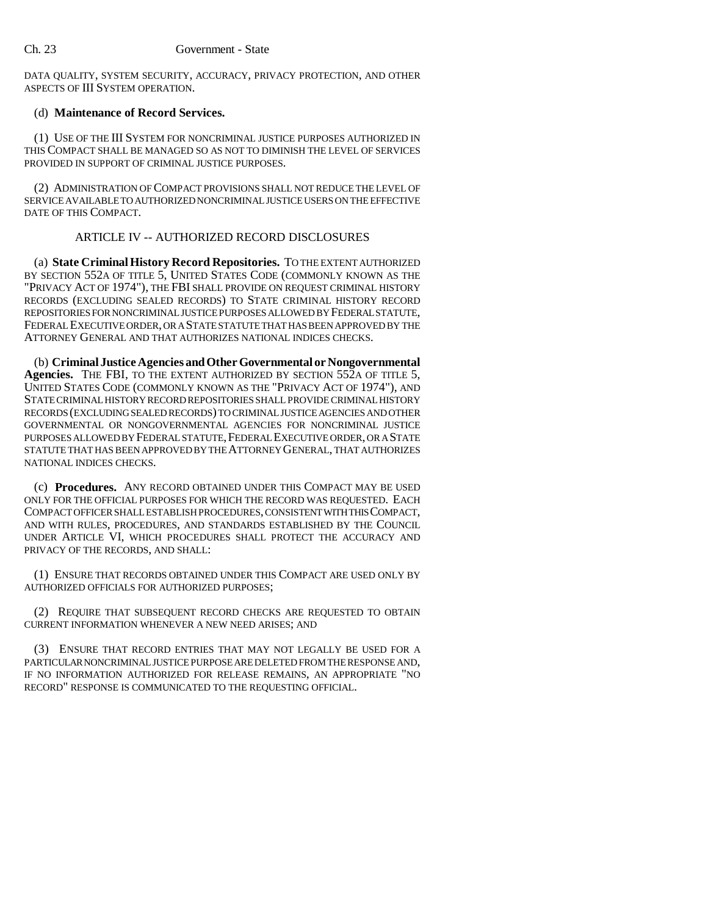DATA QUALITY, SYSTEM SECURITY, ACCURACY, PRIVACY PROTECTION, AND OTHER ASPECTS OF III SYSTEM OPERATION.

## (d) **Maintenance of Record Services.**

(1) USE OF THE III SYSTEM FOR NONCRIMINAL JUSTICE PURPOSES AUTHORIZED IN THIS COMPACT SHALL BE MANAGED SO AS NOT TO DIMINISH THE LEVEL OF SERVICES PROVIDED IN SUPPORT OF CRIMINAL JUSTICE PURPOSES.

(2) ADMINISTRATION OF COMPACT PROVISIONS SHALL NOT REDUCE THE LEVEL OF SERVICE AVAILABLE TO AUTHORIZED NONCRIMINAL JUSTICE USERS ON THE EFFECTIVE DATE OF THIS COMPACT.

## ARTICLE IV -- AUTHORIZED RECORD DISCLOSURES

(a) **State Criminal History Record Repositories.** TO THE EXTENT AUTHORIZED BY SECTION 552A OF TITLE 5, UNITED STATES CODE (COMMONLY KNOWN AS THE "PRIVACY ACT OF 1974"), THE FBI SHALL PROVIDE ON REQUEST CRIMINAL HISTORY RECORDS (EXCLUDING SEALED RECORDS) TO STATE CRIMINAL HISTORY RECORD REPOSITORIES FOR NONCRIMINAL JUSTICE PURPOSES ALLOWED BY FEDERAL STATUTE, FEDERAL EXECUTIVE ORDER, OR A STATE STATUTE THAT HAS BEEN APPROVED BY THE ATTORNEY GENERAL AND THAT AUTHORIZES NATIONAL INDICES CHECKS.

(b) **Criminal Justice Agencies and Other Governmental or Nongovernmental Agencies.** THE FBI, TO THE EXTENT AUTHORIZED BY SECTION 552A OF TITLE 5, UNITED STATES CODE (COMMONLY KNOWN AS THE "PRIVACY ACT OF 1974"), AND STATE CRIMINAL HISTORY RECORD REPOSITORIES SHALL PROVIDE CRIMINAL HISTORY RECORDS (EXCLUDING SEALED RECORDS) TO CRIMINAL JUSTICE AGENCIES AND OTHER GOVERNMENTAL OR NONGOVERNMENTAL AGENCIES FOR NONCRIMINAL JUSTICE PURPOSES ALLOWED BY FEDERAL STATUTE, FEDERAL EXECUTIVE ORDER, OR A STATE STATUTE THAT HAS BEEN APPROVED BY THE ATTORNEY GENERAL, THAT AUTHORIZES NATIONAL INDICES CHECKS.

(c) **Procedures.** ANY RECORD OBTAINED UNDER THIS COMPACT MAY BE USED ONLY FOR THE OFFICIAL PURPOSES FOR WHICH THE RECORD WAS REQUESTED. EACH COMPACT OFFICER SHALL ESTABLISH PROCEDURES, CONSISTENT WITH THIS COMPACT, AND WITH RULES, PROCEDURES, AND STANDARDS ESTABLISHED BY THE COUNCIL UNDER ARTICLE VI, WHICH PROCEDURES SHALL PROTECT THE ACCURACY AND PRIVACY OF THE RECORDS, AND SHALL:

(1) ENSURE THAT RECORDS OBTAINED UNDER THIS COMPACT ARE USED ONLY BY AUTHORIZED OFFICIALS FOR AUTHORIZED PURPOSES;

(2) REQUIRE THAT SUBSEQUENT RECORD CHECKS ARE REQUESTED TO OBTAIN CURRENT INFORMATION WHENEVER A NEW NEED ARISES; AND

(3) ENSURE THAT RECORD ENTRIES THAT MAY NOT LEGALLY BE USED FOR A PARTICULAR NONCRIMINAL JUSTICE PURPOSE ARE DELETED FROM THE RESPONSE AND, IF NO INFORMATION AUTHORIZED FOR RELEASE REMAINS, AN APPROPRIATE "NO RECORD" RESPONSE IS COMMUNICATED TO THE REQUESTING OFFICIAL.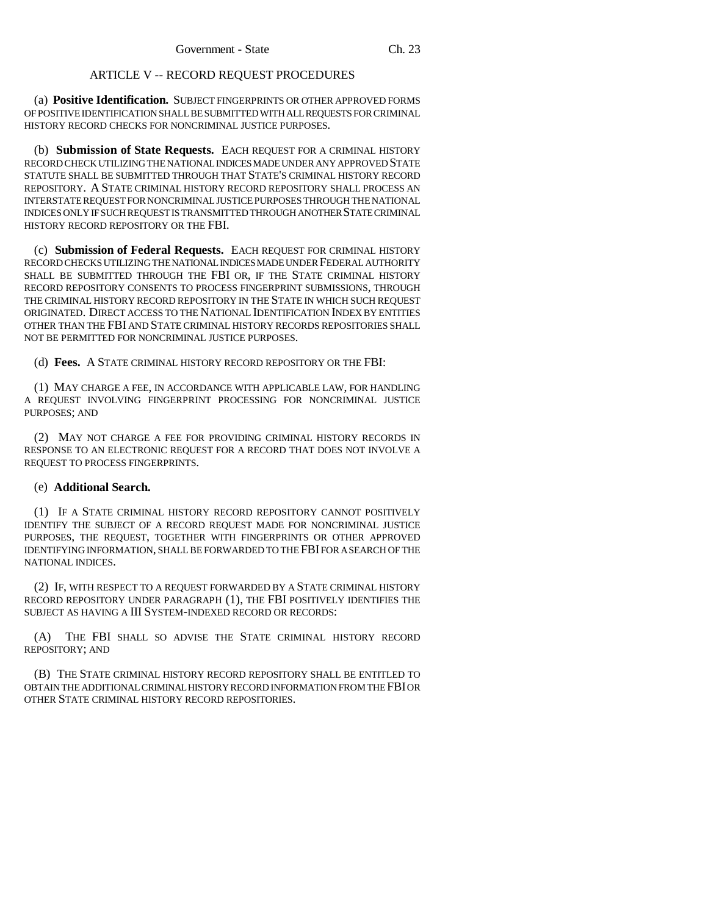## ARTICLE V -- RECORD REQUEST PROCEDURES

(a) **Positive Identification.** SUBJECT FINGERPRINTS OR OTHER APPROVED FORMS OF POSITIVE IDENTIFICATION SHALL BE SUBMITTED WITH ALL REQUESTS FOR CRIMINAL HISTORY RECORD CHECKS FOR NONCRIMINAL JUSTICE PURPOSES.

(b) **Submission of State Requests.** EACH REQUEST FOR A CRIMINAL HISTORY RECORD CHECK UTILIZING THE NATIONAL INDICES MADE UNDER ANY APPROVED STATE STATUTE SHALL BE SUBMITTED THROUGH THAT STATE'S CRIMINAL HISTORY RECORD REPOSITORY. A STATE CRIMINAL HISTORY RECORD REPOSITORY SHALL PROCESS AN INTERSTATE REQUEST FOR NONCRIMINAL JUSTICE PURPOSES THROUGH THE NATIONAL INDICES ONLY IF SUCH REQUEST IS TRANSMITTED THROUGH ANOTHER STATE CRIMINAL HISTORY RECORD REPOSITORY OR THE FBI.

(c) **Submission of Federal Requests.** EACH REQUEST FOR CRIMINAL HISTORY RECORD CHECKS UTILIZING THE NATIONAL INDICES MADE UNDER FEDERAL AUTHORITY SHALL BE SUBMITTED THROUGH THE FBI OR, IF THE STATE CRIMINAL HISTORY RECORD REPOSITORY CONSENTS TO PROCESS FINGERPRINT SUBMISSIONS, THROUGH THE CRIMINAL HISTORY RECORD REPOSITORY IN THE STATE IN WHICH SUCH REQUEST ORIGINATED. DIRECT ACCESS TO THE NATIONAL IDENTIFICATION INDEX BY ENTITIES OTHER THAN THE FBI AND STATE CRIMINAL HISTORY RECORDS REPOSITORIES SHALL NOT BE PERMITTED FOR NONCRIMINAL JUSTICE PURPOSES.

(d) **Fees.** A STATE CRIMINAL HISTORY RECORD REPOSITORY OR THE FBI:

(1) MAY CHARGE A FEE, IN ACCORDANCE WITH APPLICABLE LAW, FOR HANDLING A REQUEST INVOLVING FINGERPRINT PROCESSING FOR NONCRIMINAL JUSTICE PURPOSES; AND

(2) MAY NOT CHARGE A FEE FOR PROVIDING CRIMINAL HISTORY RECORDS IN RESPONSE TO AN ELECTRONIC REQUEST FOR A RECORD THAT DOES NOT INVOLVE A REQUEST TO PROCESS FINGERPRINTS.

#### (e) **Additional Search.**

(1) IF A STATE CRIMINAL HISTORY RECORD REPOSITORY CANNOT POSITIVELY IDENTIFY THE SUBJECT OF A RECORD REQUEST MADE FOR NONCRIMINAL JUSTICE PURPOSES, THE REQUEST, TOGETHER WITH FINGERPRINTS OR OTHER APPROVED IDENTIFYING INFORMATION, SHALL BE FORWARDED TO THE FBI FOR A SEARCH OF THE NATIONAL INDICES.

(2) IF, WITH RESPECT TO A REQUEST FORWARDED BY A STATE CRIMINAL HISTORY RECORD REPOSITORY UNDER PARAGRAPH (1), THE FBI POSITIVELY IDENTIFIES THE SUBJECT AS HAVING A III SYSTEM-INDEXED RECORD OR RECORDS:

(A) THE FBI SHALL SO ADVISE THE STATE CRIMINAL HISTORY RECORD REPOSITORY; AND

(B) THE STATE CRIMINAL HISTORY RECORD REPOSITORY SHALL BE ENTITLED TO OBTAIN THE ADDITIONAL CRIMINAL HISTORY RECORD INFORMATION FROM THE FBI OR OTHER STATE CRIMINAL HISTORY RECORD REPOSITORIES.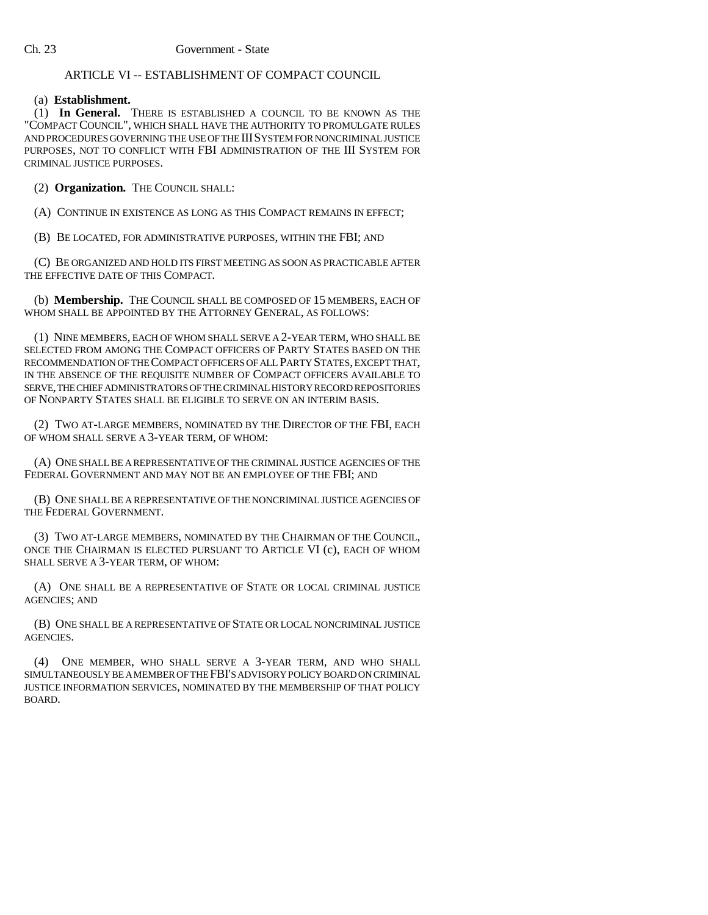## ARTICLE VI -- ESTABLISHMENT OF COMPACT COUNCIL

## (a) **Establishment.**

(1) **In General.** THERE IS ESTABLISHED A COUNCIL TO BE KNOWN AS THE "COMPACT COUNCIL", WHICH SHALL HAVE THE AUTHORITY TO PROMULGATE RULES AND PROCEDURES GOVERNING THE USE OF THE IIISYSTEM FOR NONCRIMINAL JUSTICE PURPOSES, NOT TO CONFLICT WITH FBI ADMINISTRATION OF THE III SYSTEM FOR CRIMINAL JUSTICE PURPOSES.

(2) **Organization.** THE COUNCIL SHALL:

(A) CONTINUE IN EXISTENCE AS LONG AS THIS COMPACT REMAINS IN EFFECT;

(B) BE LOCATED, FOR ADMINISTRATIVE PURPOSES, WITHIN THE FBI; AND

(C) BE ORGANIZED AND HOLD ITS FIRST MEETING AS SOON AS PRACTICABLE AFTER THE EFFECTIVE DATE OF THIS COMPACT.

(b) **Membership.** THE COUNCIL SHALL BE COMPOSED OF 15 MEMBERS, EACH OF WHOM SHALL BE APPOINTED BY THE ATTORNEY GENERAL, AS FOLLOWS:

(1) NINE MEMBERS, EACH OF WHOM SHALL SERVE A 2-YEAR TERM, WHO SHALL BE SELECTED FROM AMONG THE COMPACT OFFICERS OF PARTY STATES BASED ON THE RECOMMENDATION OF THE COMPACT OFFICERS OF ALL PARTY STATES, EXCEPT THAT, IN THE ABSENCE OF THE REQUISITE NUMBER OF COMPACT OFFICERS AVAILABLE TO SERVE, THE CHIEF ADMINISTRATORS OF THE CRIMINAL HISTORY RECORD REPOSITORIES OF NONPARTY STATES SHALL BE ELIGIBLE TO SERVE ON AN INTERIM BASIS.

(2) TWO AT-LARGE MEMBERS, NOMINATED BY THE DIRECTOR OF THE FBI, EACH OF WHOM SHALL SERVE A 3-YEAR TERM, OF WHOM:

(A) ONE SHALL BE A REPRESENTATIVE OF THE CRIMINAL JUSTICE AGENCIES OF THE FEDERAL GOVERNMENT AND MAY NOT BE AN EMPLOYEE OF THE FBI; AND

(B) ONE SHALL BE A REPRESENTATIVE OF THE NONCRIMINAL JUSTICE AGENCIES OF THE FEDERAL GOVERNMENT.

(3) TWO AT-LARGE MEMBERS, NOMINATED BY THE CHAIRMAN OF THE COUNCIL, ONCE THE CHAIRMAN IS ELECTED PURSUANT TO ARTICLE VI (c), EACH OF WHOM SHALL SERVE A 3-YEAR TERM, OF WHOM:

(A) ONE SHALL BE A REPRESENTATIVE OF STATE OR LOCAL CRIMINAL JUSTICE AGENCIES; AND

(B) ONE SHALL BE A REPRESENTATIVE OF STATE OR LOCAL NONCRIMINAL JUSTICE AGENCIES.

(4) ONE MEMBER, WHO SHALL SERVE A 3-YEAR TERM, AND WHO SHALL SIMULTANEOUSLY BE A MEMBER OF THE FBI'S ADVISORY POLICY BOARD ON CRIMINAL JUSTICE INFORMATION SERVICES, NOMINATED BY THE MEMBERSHIP OF THAT POLICY BOARD.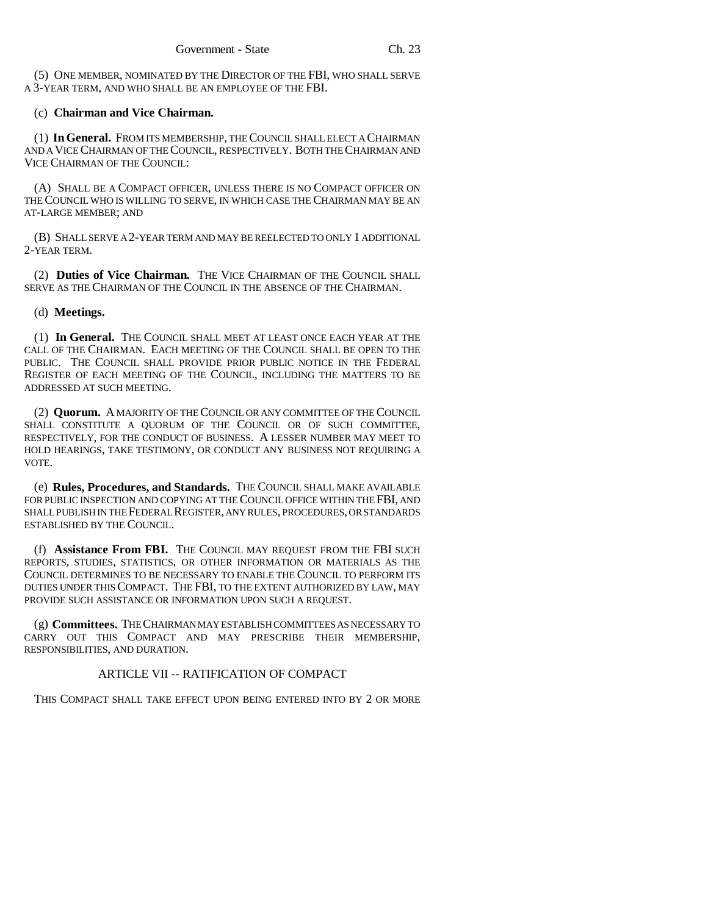(5) ONE MEMBER, NOMINATED BY THE DIRECTOR OF THE FBI, WHO SHALL SERVE A 3-YEAR TERM, AND WHO SHALL BE AN EMPLOYEE OF THE FBI.

## (c) **Chairman and Vice Chairman.**

(1) **In General.** FROM ITS MEMBERSHIP, THE COUNCIL SHALL ELECT A CHAIRMAN AND A VICE CHAIRMAN OF THE COUNCIL, RESPECTIVELY. BOTH THE CHAIRMAN AND VICE CHAIRMAN OF THE COUNCIL:

(A) SHALL BE A COMPACT OFFICER, UNLESS THERE IS NO COMPACT OFFICER ON THE COUNCIL WHO IS WILLING TO SERVE, IN WHICH CASE THE CHAIRMAN MAY BE AN AT-LARGE MEMBER; AND

(B) SHALL SERVE A 2-YEAR TERM AND MAY BE REELECTED TO ONLY 1 ADDITIONAL 2-YEAR TERM.

(2) **Duties of Vice Chairman.** THE VICE CHAIRMAN OF THE COUNCIL SHALL SERVE AS THE CHAIRMAN OF THE COUNCIL IN THE ABSENCE OF THE CHAIRMAN.

## (d) **Meetings.**

(1) **In General.** THE COUNCIL SHALL MEET AT LEAST ONCE EACH YEAR AT THE CALL OF THE CHAIRMAN. EACH MEETING OF THE COUNCIL SHALL BE OPEN TO THE PUBLIC. THE COUNCIL SHALL PROVIDE PRIOR PUBLIC NOTICE IN THE FEDERAL REGISTER OF EACH MEETING OF THE COUNCIL, INCLUDING THE MATTERS TO BE ADDRESSED AT SUCH MEETING.

(2) **Quorum.** A MAJORITY OF THE COUNCIL OR ANY COMMITTEE OF THE COUNCIL SHALL CONSTITUTE A QUORUM OF THE COUNCIL OR OF SUCH COMMITTEE, RESPECTIVELY, FOR THE CONDUCT OF BUSINESS. A LESSER NUMBER MAY MEET TO HOLD HEARINGS, TAKE TESTIMONY, OR CONDUCT ANY BUSINESS NOT REQUIRING A VOTE.

(e) **Rules, Procedures, and Standards.** THE COUNCIL SHALL MAKE AVAILABLE FOR PUBLIC INSPECTION AND COPYING AT THE COUNCIL OFFICE WITHIN THE FBI, AND SHALL PUBLISH IN THE FEDERAL REGISTER, ANY RULES, PROCEDURES, OR STANDARDS ESTABLISHED BY THE COUNCIL.

(f) **Assistance From FBI.** THE COUNCIL MAY REQUEST FROM THE FBI SUCH REPORTS, STUDIES, STATISTICS, OR OTHER INFORMATION OR MATERIALS AS THE COUNCIL DETERMINES TO BE NECESSARY TO ENABLE THE COUNCIL TO PERFORM ITS DUTIES UNDER THIS COMPACT. THE FBI, TO THE EXTENT AUTHORIZED BY LAW, MAY PROVIDE SUCH ASSISTANCE OR INFORMATION UPON SUCH A REQUEST.

(g) **Committees.** THE CHAIRMAN MAY ESTABLISH COMMITTEES AS NECESSARY TO CARRY OUT THIS COMPACT AND MAY PRESCRIBE THEIR MEMBERSHIP, RESPONSIBILITIES, AND DURATION.

## ARTICLE VII -- RATIFICATION OF COMPACT

THIS COMPACT SHALL TAKE EFFECT UPON BEING ENTERED INTO BY 2 OR MORE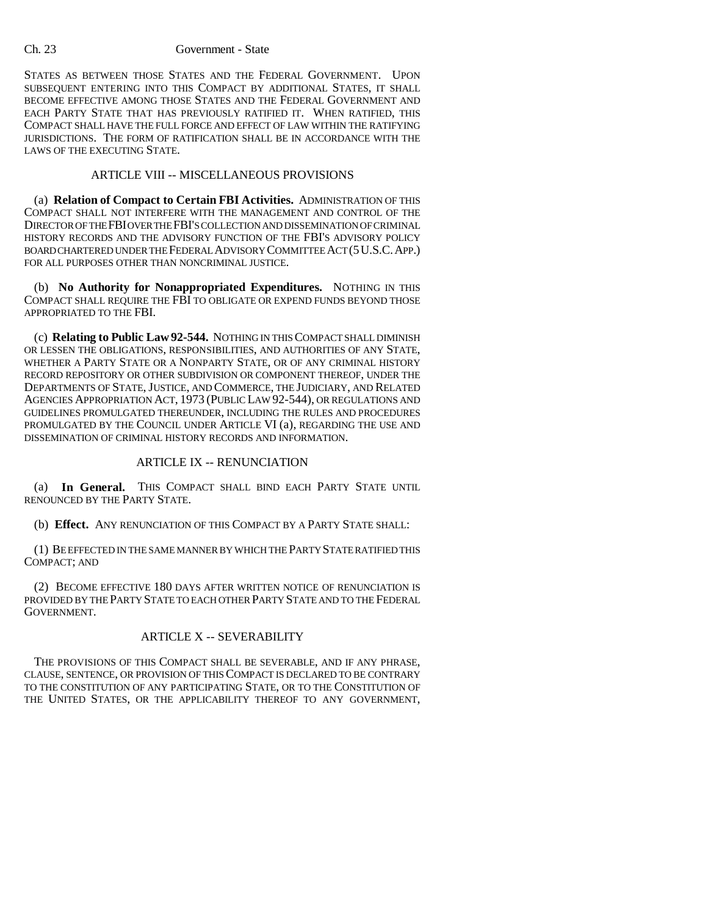#### Ch. 23 Government - State

STATES AS BETWEEN THOSE STATES AND THE FEDERAL GOVERNMENT. UPON SUBSEQUENT ENTERING INTO THIS COMPACT BY ADDITIONAL STATES, IT SHALL BECOME EFFECTIVE AMONG THOSE STATES AND THE FEDERAL GOVERNMENT AND EACH PARTY STATE THAT HAS PREVIOUSLY RATIFIED IT. WHEN RATIFIED, THIS COMPACT SHALL HAVE THE FULL FORCE AND EFFECT OF LAW WITHIN THE RATIFYING JURISDICTIONS. THE FORM OF RATIFICATION SHALL BE IN ACCORDANCE WITH THE LAWS OF THE EXECUTING STATE.

## ARTICLE VIII -- MISCELLANEOUS PROVISIONS

(a) **Relation of Compact to Certain FBI Activities.** ADMINISTRATION OF THIS COMPACT SHALL NOT INTERFERE WITH THE MANAGEMENT AND CONTROL OF THE DIRECTOR OF THE FBI OVER THE FBI'S COLLECTION AND DISSEMINATION OF CRIMINAL HISTORY RECORDS AND THE ADVISORY FUNCTION OF THE FBI'S ADVISORY POLICY BOARD CHARTERED UNDER THE FEDERAL ADVISORY COMMITTEE ACT (5U.S.C.APP.) FOR ALL PURPOSES OTHER THAN NONCRIMINAL JUSTICE.

(b) **No Authority for Nonappropriated Expenditures.** NOTHING IN THIS COMPACT SHALL REQUIRE THE FBI TO OBLIGATE OR EXPEND FUNDS BEYOND THOSE APPROPRIATED TO THE FBI.

(c) **Relating to Public Law 92-544.** NOTHING IN THIS COMPACT SHALL DIMINISH OR LESSEN THE OBLIGATIONS, RESPONSIBILITIES, AND AUTHORITIES OF ANY STATE, WHETHER A PARTY STATE OR A NONPARTY STATE, OR OF ANY CRIMINAL HISTORY RECORD REPOSITORY OR OTHER SUBDIVISION OR COMPONENT THEREOF, UNDER THE DEPARTMENTS OF STATE,JUSTICE, AND COMMERCE, THE JUDICIARY, AND RELATED AGENCIES APPROPRIATION ACT, 1973 (PUBLIC LAW 92-544), OR REGULATIONS AND GUIDELINES PROMULGATED THEREUNDER, INCLUDING THE RULES AND PROCEDURES PROMULGATED BY THE COUNCIL UNDER ARTICLE VI (a), REGARDING THE USE AND DISSEMINATION OF CRIMINAL HISTORY RECORDS AND INFORMATION.

## ARTICLE IX -- RENUNCIATION

(a) **In General.** THIS COMPACT SHALL BIND EACH PARTY STATE UNTIL RENOUNCED BY THE PARTY STATE.

(b) **Effect.** ANY RENUNCIATION OF THIS COMPACT BY A PARTY STATE SHALL:

(1) BE EFFECTED IN THE SAME MANNER BY WHICH THE PARTY STATE RATIFIED THIS COMPACT; AND

(2) BECOME EFFECTIVE 180 DAYS AFTER WRITTEN NOTICE OF RENUNCIATION IS PROVIDED BY THE PARTY STATE TO EACH OTHER PARTY STATE AND TO THE FEDERAL GOVERNMENT.

## ARTICLE X -- SEVERABILITY

THE PROVISIONS OF THIS COMPACT SHALL BE SEVERABLE, AND IF ANY PHRASE, CLAUSE, SENTENCE, OR PROVISION OF THIS COMPACT IS DECLARED TO BE CONTRARY TO THE CONSTITUTION OF ANY PARTICIPATING STATE, OR TO THE CONSTITUTION OF THE UNITED STATES, OR THE APPLICABILITY THEREOF TO ANY GOVERNMENT,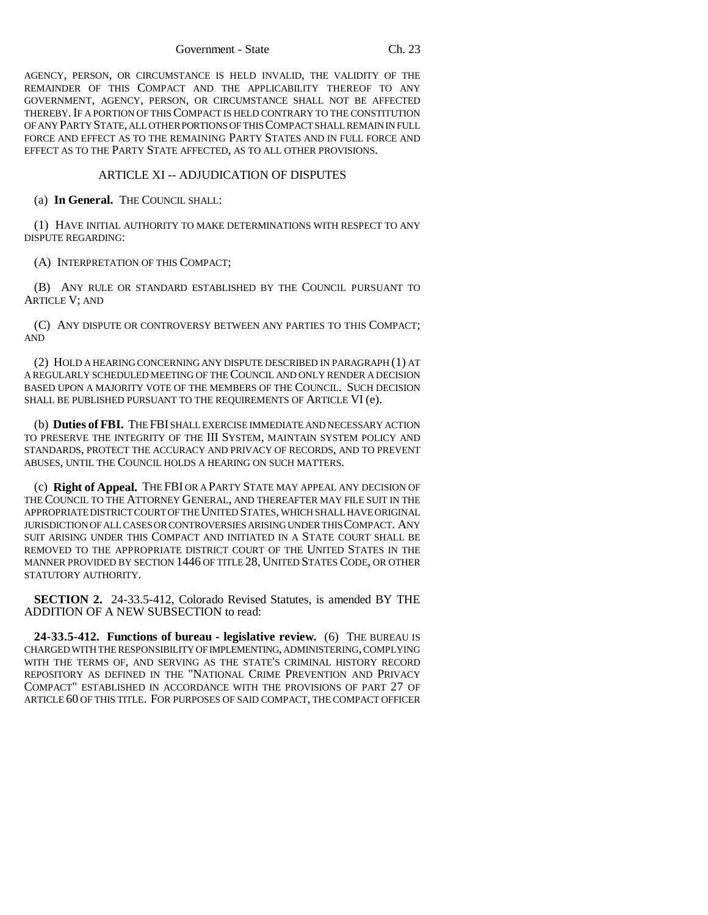Government - State Ch. 23

AGENCY, PERSON, OR CIRCUMSTANCE IS HELD INVALID, THE VALIDITY OF THE REMAINDER OF THIS COMPACT AND THE APPLICABILITY THEREOF TO ANY GOVERNMENT, AGENCY, PERSON, OR CIRCUMSTANCE SHALL NOT BE AFFECTED THEREBY. IF A PORTION OF THIS COMPACT IS HELD CONTRARY TO THE CONSTITUTION OF ANY PARTY STATE, ALL OTHER PORTIONS OF THIS COMPACT SHALL REMAIN IN FULL FORCE AND EFFECT AS TO THE REMAINING PARTY STATES AND IN FULL FORCE AND EFFECT AS TO THE PARTY STATE AFFECTED, AS TO ALL OTHER PROVISIONS.

## ARTICLE XI -- ADJUDICATION OF DISPUTES

(a) **In General.** THE COUNCIL SHALL:

(1) HAVE INITIAL AUTHORITY TO MAKE DETERMINATIONS WITH RESPECT TO ANY DISPUTE REGARDING:

(A) INTERPRETATION OF THIS COMPACT;

(B) ANY RULE OR STANDARD ESTABLISHED BY THE COUNCIL PURSUANT TO ARTICLE V; AND

(C) ANY DISPUTE OR CONTROVERSY BETWEEN ANY PARTIES TO THIS COMPACT; AND

(2) HOLD A HEARING CONCERNING ANY DISPUTE DESCRIBED IN PARAGRAPH (1) AT A REGULARLY SCHEDULED MEETING OF THE COUNCIL AND ONLY RENDER A DECISION BASED UPON A MAJORITY VOTE OF THE MEMBERS OF THE COUNCIL. SUCH DECISION SHALL BE PUBLISHED PURSUANT TO THE REQUIREMENTS OF ARTICLE VI (e).

(b) **Duties of FBI.** THE FBI SHALL EXERCISE IMMEDIATE AND NECESSARY ACTION TO PRESERVE THE INTEGRITY OF THE III SYSTEM, MAINTAIN SYSTEM POLICY AND STANDARDS, PROTECT THE ACCURACY AND PRIVACY OF RECORDS, AND TO PREVENT ABUSES, UNTIL THE COUNCIL HOLDS A HEARING ON SUCH MATTERS.

(c) **Right of Appeal.** THE FBI OR A PARTY STATE MAY APPEAL ANY DECISION OF THE COUNCIL TO THE ATTORNEY GENERAL, AND THEREAFTER MAY FILE SUIT IN THE APPROPRIATE DISTRICT COURT OF THE UNITED STATES, WHICH SHALL HAVE ORIGINAL JURISDICTION OF ALL CASES OR CONTROVERSIES ARISING UNDER THIS COMPACT. ANY SUIT ARISING UNDER THIS COMPACT AND INITIATED IN A STATE COURT SHALL BE REMOVED TO THE APPROPRIATE DISTRICT COURT OF THE UNITED STATES IN THE MANNER PROVIDED BY SECTION 1446 OF TITLE 28, UNITED STATES CODE, OR OTHER STATUTORY AUTHORITY.

**SECTION 2.** 24-33.5-412, Colorado Revised Statutes, is amended BY THE ADDITION OF A NEW SUBSECTION to read:

**24-33.5-412. Functions of bureau - legislative review.** (6) THE BUREAU IS CHARGED WITH THE RESPONSIBILITY OF IMPLEMENTING, ADMINISTERING, COMPLYING WITH THE TERMS OF, AND SERVING AS THE STATE'S CRIMINAL HISTORY RECORD REPOSITORY AS DEFINED IN THE "NATIONAL CRIME PREVENTION AND PRIVACY COMPACT" ESTABLISHED IN ACCORDANCE WITH THE PROVISIONS OF PART 27 OF ARTICLE 60 OF THIS TITLE. FOR PURPOSES OF SAID COMPACT, THE COMPACT OFFICER